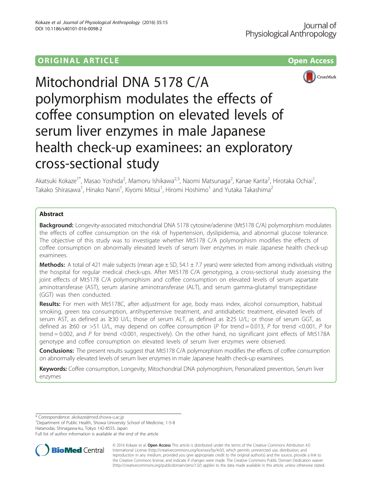# **ORIGINAL ARTICLE CONSERVANCE CONSERVANCE CONSERVANCE CONSERVANCE CONSERVANCE CONSERVANCE CONSERVANCE CONSERVANCE**





Mitochondrial DNA 5178 C/A polymorphism modulates the effects of coffee consumption on elevated levels of serum liver enzymes in male Japanese health check-up examinees: an exploratory cross-sectional study

Akatsuki Kokaze<sup>1\*</sup>, Masao Yoshida<sup>2</sup>, Mamoru Ishikawa<sup>2,3</sup>, Naomi Matsunaga<sup>2</sup>, Kanae Karita<sup>2</sup>, Hirotaka Ochiai<sup>1</sup> , Takako Shirasawa<sup>1</sup>, Hinako Nanri<sup>1</sup>, Kiyomi Mitsui<sup>1</sup>, Hiromi Hoshimo<sup>1</sup> and Yutaka Takashima<sup>2</sup>

## Abstract

**Background:** Longevity-associated mitochondrial DNA 5178 cytosine/adenine (Mt5178 C/A) polymorphism modulates the effects of coffee consumption on the risk of hypertension, dyslipidemia, and abnormal glucose tolerance. The objective of this study was to investigate whether Mt5178 C/A polymorphism modifies the effects of coffee consumption on abnormally elevated levels of serum liver enzymes in male Japanese health check-up examinees.

**Methods:** A total of 421 male subjects (mean age  $\pm$  SD, 54.1  $\pm$  7.7 years) were selected from among individuals visiting the hospital for regular medical check-ups. After Mt5178 C/A genotyping, a cross-sectional study assessing the joint effects of Mt5178 C/A polymorphism and coffee consumption on elevated levels of serum aspartate aminotransferase (AST), serum alanine aminotransferase (ALT), and serum gamma-glutamyl transpeptidase (GGT) was then conducted.

Results: For men with Mt5178C, after adjustment for age, body mass index, alcohol consumption, habitual smoking, green tea consumption, antihypertensive treatment, and antidiabetic treatment, elevated levels of serum AST, as defined as ≥30 U/L; those of serum ALT, as defined as ≥25 U/L; or those of serum GGT, as defined as ≥60 or >51 U/L, may depend on coffee consumption (P for trend = 0.013, P for trend <0.001, P for trend = 0.002, and P for trend <0.001, respectively). On the other hand, no significant joint effects of Mt5178A genotype and coffee consumption on elevated levels of serum liver enzymes were observed.

**Conclusions:** The present results suggest that Mt5178 C/A polymorphism modifies the effects of coffee consumption on abnormally elevated levels of serum liver enzymes in male Japanese health check-up examinees.

Keywords: Coffee consumption, Longevity, Mitochondrial DNA polymorphism, Personalized prevention, Serum liver enzymes

\* Correspondence: [akokaze@med.showa-u.ac.jp](mailto:akokaze@med.showa-u.ac.jp) <sup>1</sup>

<sup>1</sup> Department of Public Health, Showa University School of Medicine, 1-5-8 Hatanodai, Shinagawa-ku, Tokyo 142-8555, Japan

Full list of author information is available at the end of the article



© 2016 Kokaze et al. Open Access This article is distributed under the terms of the Creative Commons Attribution 4.0 International License [\(http://creativecommons.org/licenses/by/4.0/](http://creativecommons.org/licenses/by/4.0/)), which permits unrestricted use, distribution, and reproduction in any medium, provided you give appropriate credit to the original author(s) and the source, provide a link to the Creative Commons license, and indicate if changes were made. The Creative Commons Public Domain Dedication waiver [\(http://creativecommons.org/publicdomain/zero/1.0/](http://creativecommons.org/publicdomain/zero/1.0/)) applies to the data made available in this article, unless otherwise stated.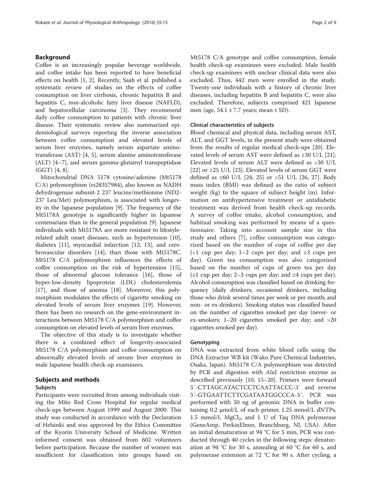### Background

Coffee is an increasingly popular beverage worldwide, and coffee intake has been reported to have beneficial effects on health [\[1](#page-7-0), [2\]](#page-7-0). Recently, Saab et al. published a systematic review of studies on the effects of coffee consumption on liver cirrhosis, chronic hepatitis B and hepatitis C, non-alcoholic fatty liver disease (NAFLD), and hepatocellular carcinoma [\[3](#page-7-0)]. They recommend daily coffee consumption to patients with chronic liver disease. Their systematic review also summarized epidemiological surveys reporting the inverse association between coffee consumption and elevated levels of serum liver enzymes, namely serum aspartate aminotransferase (AST) [[4, 5\]](#page-7-0), serum alanine aminotransferase (ALT) [[4](#page-7-0)–[7\]](#page-7-0), and serum gamma-glutamyl transpeptidase (GGT) [\[4](#page-7-0), [8](#page-7-0)].

Mitochondrial DNA 5178 cytosine/adenine (Mt5178 C/A) polymorphism (rs28357984), also known as NADH dehydrogenase subunit-2 237 leucine/methionine (ND2- 237 Leu/Met) polymorphism, is associated with longevity in the Japanese population [\[9](#page-7-0)]. The frequency of the Mt5178A genotype is significantly higher in Japanese centenarians than in the general population [\[9](#page-7-0)]. Japanese individuals with Mt5178A are more resistant to lifestylerelated adult onset diseases, such as hypertension [\[10](#page-7-0)], diabetes [[11](#page-7-0)], myocardial infarction [\[12, 13](#page-7-0)], and cerebrovascular disorders [\[14\]](#page-7-0), than those with Mt5178C. Mt5178 C/A polymorphism influences the effects of coffee consumption on the risk of hypertension [\[15](#page-7-0)], those of abnormal glucose tolerance [[16](#page-7-0)], those of hyper-low-density lipoprotein (LDL) cholesterolemia [[17\]](#page-7-0), and those of anemia [\[18\]](#page-7-0). Moreover, this polymorphism modulates the effects of cigarette smoking on elevated levels of serum liver enzymes [\[19\]](#page-7-0). However, there has been no research on the gene-environment interactions between Mt5178 C/A polymorphism and coffee consumption on elevated levels of serum liver enzymes.

The objective of this study is to investigate whether there is a combined effect of longevity-associated Mt5178 C/A polymorphism and coffee consumption on abnormally elevated levels of serum liver enzymes in male Japanese health check-up examinees.

### Subjects and methods

#### Subjects

Participants were recruited from among individuals visiting the Mito Red Cross Hospital for regular medical check-ups between August 1999 and August 2000. This study was conducted in accordance with the Declaration of Helsinki and was approved by the Ethics Committee of the Kyorin University School of Medicine. Written informed consent was obtained from 602 volunteers before participation. Because the number of women was insufficient for classification into groups based on Mt5178 C/A genotype and coffee consumption, female health check-up examinees were excluded. Male health check-up examinees with unclear clinical data were also excluded. Thus, 442 men were enrolled in the study. Twenty-one individuals with a history of chronic liver diseases, including hepatitis B and hepatitis C, were also excluded. Therefore, subjects comprised 421 Japanese men (age,  $54.1 \pm 7.7$  years; mean  $\pm$  SD).

### Clinical characteristics of subjects

Blood chemical and physical data, including serum AST, ALT, and GGT levels, in the present study were obtained from the results of regular medical check-ups [[20](#page-7-0)]. Elevated levels of serum AST were defined as ≥30 U/L [\[21](#page-7-0)]. Elevated levels of serum ALT were defined as >30 U/L [[22\]](#page-7-0) or ≥25 U/L [[23\]](#page-7-0). Elevated levels of serum GGT were defined as ≥60 U/L [\[24, 25\]](#page-7-0) or >51 U/L [[26, 27\]](#page-8-0). Body mass index (BMI) was defined as the ratio of subject weight (kg) to the square of subject height (m). Information on antihypertensive treatment or antidiabetic treatment was derived from health check-up records. A survey of coffee intake, alcohol consumption, and habitual smoking was performed by means of a questionnaire. Taking into account sample size in this study and others [[7](#page-7-0)], coffee consumption was categorized based on the number of cups of coffee per day (<1 cup per day; 1–2 cups per day; and ≥3 cups per day). Green tea consumption was also categorized based on the number of cups of green tea per day (≤1 cup per day; 2–3 cups per day; and ≥4 cups per day). Alcohol consumption was classified based on drinking frequency (daily drinkers; occasional drinkers, including those who drink several times per week or per month; and non- or ex-drinkers). Smoking status was classified based on the number of cigarettes smoked per day (never- or ex-smokers; 1–20 cigarettes smoked per day; and >20 cigarettes smoked per day).

#### **Genotyping**

DNA was extracted from white blood cells using the DNA Extractor WB kit (Wako Pure Chemical Industries, Osaka, Japan). Mt5178 C/A polymorphism was detected by PCR and digestion with AluI restriction enzyme as described previously [\[10](#page-7-0), [15](#page-7-0)–[20](#page-7-0)]. Primers were forward 5′-CTTAGCATACTCCTCAATTACCC-3′ and reverse 5′-GTGAATTCTTCGATAATGGCCCA-3′. PCR was performed with 50 ng of genomic DNA in buffer containing 0.2 μmol/L of each primer, 1.25 mmol/L dNTPs, 1.5 mmol/L  $MgCl<sub>2</sub>$ , and 1 U of Taq DNA polymerase (GeneAmp, PerkinElmer, Branchburg, NJ, USA). After an initial denaturation at 94 °C for 5 min, PCR was conducted through 40 cycles in the following steps: denaturation at 94 °C for 30 s, annealing at 60 °C for 60 s, and polymerase extension at 72 °C for 90 s. After cycling, a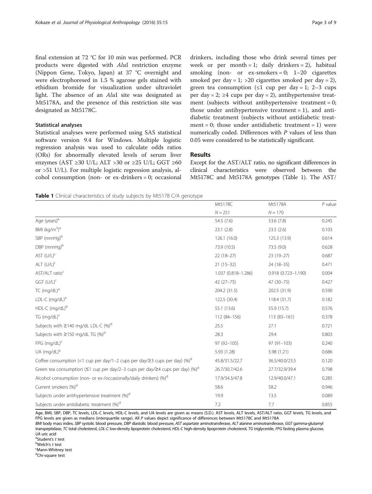final extension at 72 °C for 10 min was performed. PCR products were digested with AluI restriction enzyme

(Nippon Gene, Tokyo, Japan) at 37 °C overnight and were electrophoresed in 1.5 % agarose gels stained with ethidium bromide for visualization under ultraviolet light. The absence of an AluI site was designated as Mt5178A, and the presence of this restriction site was designated as Mt5178C.

### Statistical analyses

Statistical analyses were performed using SAS statistical software version 9.4 for Windows. Multiple logistic regression analysis was used to calculate odds ratios (ORs) for abnormally elevated levels of serum liver enzymes (AST ≥30 U/L; ALT >30 or ≥25 U/L; GGT ≥60 or >51 U/L). For multiple logistic regression analysis, alcohol consumption (non- or ex-drinkers = 0; occasional drinkers, including those who drink several times per week or per month = 1; daily drinkers = 2), habitual smoking (non- or  $ex\text{-smokes} = 0$ ; 1–20 cigarettes smoked per day = 1; > 20 cigarettes smoked per day = 2), green tea consumption ( $\leq 1$  cup per day = 1; 2–3 cups per day = 2;  $\geq 4$  cups per day = 2), antihypertensive treatment (subjects without antihypertensive treatment =  $0$ ; those under antihypertensive treatment  $= 1$ ), and antidiabetic treatment (subjects without antidiabetic treatment = 0; those under antidiabetic treatment = 1) were numerically coded. Differences with P values of less than 0.05 were considered to be statistically significant.

#### Results

Except for the AST/ALT ratio, no significant differences in clinical characteristics were observed between the Mt5178C and Mt5178A genotypes (Table 1). The AST/

 $N = 251$   $N = 170$ 

Mt5178C Mt5178A *P* value

Table 1 Clinical characteristics of study subjects by Mt5178 C/A genotype

| Age (years) <sup>a</sup>                                                                               | 54.5 (7.6)          | 53.6 (7.8)             | 0.245 |
|--------------------------------------------------------------------------------------------------------|---------------------|------------------------|-------|
| BMI (kg/m <sup>2</sup> ) <sup>a</sup>                                                                  | 23.1(2.8)           | 23.5(2.6)              | 0.103 |
| SBP (mmHg) <sup>b</sup>                                                                                | 126.1 (16.0)        | 125.3 (13.9)           | 0.614 |
| DBP (mmHg) <sup>b</sup>                                                                                | 73.9 (10.5)         | 73.5 (9.0)             | 0.628 |
| AST (U/L) <sup>c</sup>                                                                                 | $22(18-27)$         | $23(19-27)$            | 0.687 |
| ALT (U/L) <sup>c</sup>                                                                                 | $21(15-32)$         | 24 (18-35)             | 0.471 |
| AST/ALT ratio <sup>c</sup>                                                                             | 1.037 (0.818-1.286) | $0.918(0.723 - 1.190)$ | 0.004 |
| GGT (U/L) <sup>c</sup>                                                                                 | $42(27 - 75)$       | 47 (30-75)             | 0.427 |
| TC (mg/dL) <sup>a</sup>                                                                                | 204.2 (31.5)        | 202.5 (31.9)           | 0.590 |
| LDL-C (mg/dL) <sup>a</sup>                                                                             | 122.5 (30.4)        | 118.4(31.7)            | 0.182 |
| HDL-C (mg/dL) <sup>b</sup>                                                                             | 55.1 (13.6)         | 55.9 (15.7)            | 0.576 |
| TG (mg/dL) <sup>c</sup>                                                                                | 112 (84-156)        | $113(83 - 161)$        | 0.378 |
| Subjects with $\geq$ 140 mg/dL LDL-C (%) <sup>d</sup>                                                  | 25.5                | 27.1                   | 0.721 |
| Subjects with $\geq$ 150 mg/dL TG (%) <sup>d</sup>                                                     | 28.3                | 29.4                   | 0.803 |
| FPG (mg/dL) <sup>c</sup>                                                                               | 97 (92-105)         | $97(91 - 103)$         | 0.240 |
| UA (mg/dL) <sup>a</sup>                                                                                | 5.93 (1.28)         | 5.98 (1.21)            | 0.686 |
| Coffee consumption (<1 cup per day/1–2 cups per day/ $\geq$ 3 cups per day) (%) <sup>d</sup>           | 45.8/31.5/22.7      | 36.5/40.0/23.5         | 0.120 |
| Green tea consumption ( $\leq$ 1 cup per day/2–3 cups per day/ $\geq$ 4 cups per day) (%) <sup>d</sup> | 26.7/30.7/42.6      | 27.7/32.9/39.4         | 0.798 |
| Alcohol consumption (non- or ex-/occasionally/daily drinkers) (%) <sup>d</sup>                         | 17.9/34.3/47.8      | 12.9/40.0/47.1         | 0.285 |
| Current smokers (%) <sup>d</sup>                                                                       | 58.6                | 58.2                   | 0.946 |
| Subjects under antihypertensive treatment (%) <sup>d</sup>                                             | 19.9                | 13.5                   | 0.089 |
| Subjects under antidiabetic treatment (%) <sup>d</sup>                                                 | 7.2                 | 7.7                    | 0.855 |

Age, BMI, SBP, DBP, TC levels, LDL-C levels, HDL-C levels, and UA levels are given as means (S.D.). AST levels, ALT levels, AST/ALT ratio, GGT levels, TG levels, and FPG levels are given as medians (interquartile range). All P values depict significance of differences between Mt5178C and Mt5178A BMI body mass index, SBP systolic blood pressure, DBP diastolic blood pressure, AST aspartate aminotransferase, ALT alanine aminotransferase, GGT gamma-glutamyl

transpeptidase, TC total cholesterol, LDL-C low-density lipoprotein cholesterol, HDL-C high-density lipoprotein cholesterol, TG triglyceride, FPG fasting plasma glucose, UA uric acid

<sup>a</sup>Student's t test  $b$ Welch's  $t$  test Mann-Whitney test

<sup>d</sup>Chi-square test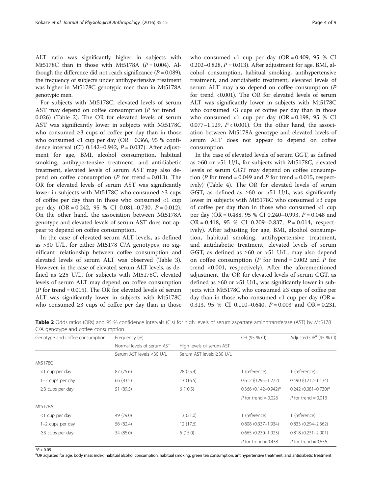ALT ratio was significantly higher in subjects with Mt5178C than in those with Mt5178A  $(P = 0.004)$ . Although the difference did not reach significance  $(P = 0.089)$ , the frequency of subjects under antihypertensive treatment was higher in Mt5178C genotypic men than in Mt5178A genotypic men.

For subjects with Mt5178C, elevated levels of serum AST may depend on coffee consumption  $(P$  for trend = 0.026) (Table 2). The OR for elevated levels of serum AST was significantly lower in subjects with Mt5178C who consumed ≥3 cups of coffee per day than in those who consumed  $\langle 1 \text{ cup per day (OR = 0.366, 95 % confi-  
100000, 95000, 95000, 95000, 95000, 95000, 95000, 95000, 95000, 95000, 95000, 95000, 95000, 95000, 95000, 95000, 95000, 95000, 95000, 95000, 95000, 95000, 95000, 95000, 95000, 9$ dence interval (CI)  $0.142-0.942$ ,  $P = 0.037$ ). After adjustment for age, BMI, alcohol consumption, habitual smoking, antihypertensive treatment, and antidiabetic treatment, elevated levels of serum AST may also depend on coffee consumption  $(P \text{ for trend} = 0.013)$ . The OR for elevated levels of serum AST was significantly lower in subjects with Mt5178C who consumed ≥3 cups of coffee per day than in those who consumed <1 cup per day  $(OR = 0.242, 95 % CI 0.081-0.730, P = 0.012).$ On the other hand, the association between Mt5178A genotype and elevated levels of serum AST does not appear to depend on coffee consumption.

In the case of elevated serum ALT levels, as defined as >30 U/L, for either Mt5178 C/A genotypes, no significant relationship between coffee consumption and elevated levels of serum ALT was observed (Table [3](#page-4-0)). However, in the case of elevated serum ALT levels, as defined as  $\geq$  25 U/L, for subjects with Mt5178C, elevated levels of serum ALT may depend on coffee consumption ( $P$  for trend = 0.015). The OR for elevated levels of serum ALT was significantly lower in subjects with Mt5178C who consumed  $\geq 3$  cups of coffee per day than in those who consumed  $\langle 1 \text{ cup per day } (OR = 0.409, 95 \% \text{ CI})$ 0.202–0.828,  $P = 0.013$ ). After adjustment for age, BMI, alcohol consumption, habitual smoking, antihypertensive treatment, and antidiabetic treatment, elevated levels of serum ALT may also depend on coffee consumption (P for trend <0.001). The OR for elevated levels of serum ALT was significantly lower in subjects with Mt5178C who consumed  $\geq 3$  cups of coffee per day than in those who consumed  $\langle 1 \text{ cup per day } (\text{OR} = 0.198, 95 \text{ % CI}) \rangle$ 0.077–1.129,  $P < 0.001$ ). On the other hand, the association between Mt5178A genotype and elevated levels of serum ALT does not appear to depend on coffee consumption.

In the case of elevated levels of serum GGT, as defined as ≥60 or >51 U/L, for subjects with Mt5178C, elevated levels of serum GGT may depend on coffee consumption (P for trend = 0.049 and P for trend = 0.015, respectively) (Table [4\)](#page-5-0). The OR for elevated levels of serum GGT, as defined as  $\geq 60$  or  $> 51$  U/L, was significantly lower in subjects with Mt5178C who consumed ≥3 cups of coffee per day than in those who consumed <1 cup per day (OR = 0.488, 95 % CI 0.240–0.993,  $P = 0.048$  and  $OR = 0.418$ , 95 % CI 0.209-0.837,  $P = 0.014$ , respectively). After adjusting for age, BMI, alcohol consumption, habitual smoking, antihypertensive treatment, and antidiabetic treatment, elevated levels of serum GGT, as defined as  $\geq 60$  or  $> 51$  U/L, may also depend on coffee consumption (*P* for trend = 0.002 and *P* for trend <0.001, respectively). After the aforementioned adjustment, the OR for elevated levels of serum GGT, as defined as  $\geq 60$  or  $> 51$  U/L, was significantly lower in subjects with Mt5178C who consumed ≥3 cups of coffee per day than in those who consumed  $\langle 1 \rangle$  cup per day (OR = 0.313, 95 % CI 0.110–0.640,  $P = 0.003$  and OR = 0.231,

Table 2 Odds ratios (ORs) and 95 % confidence intervals (CIs) for high levels of serum aspartate aminotransferase (AST) by Mt5178 C/A genotype and coffee consumption

| Genotype and coffee consumption | Frequency (%)              |                          | OR (95 % CI)           | Adjusted OR <sup>a</sup> (95 % CI) |
|---------------------------------|----------------------------|--------------------------|------------------------|------------------------------------|
|                                 | Normal levels of serum AST | High levels of serum AST |                        |                                    |
|                                 | Serum AST levels <30 U/L   | Serum AST levels ≥30 U/L |                        |                                    |
| Mt5178C                         |                            |                          |                        |                                    |
| <1 cup per day                  | 87 (75.6)                  | 28 (25.4)                | 1 (reference)          | 1 (reference)                      |
| 1-2 cups per day                | 66 (83.5)                  | 13(16.5)                 | $0.612(0.295 - 1.272)$ | $0.490(0.212 - 1.134)$             |
| $\geq$ 3 cups per day           | 51 (89.5)                  | 6(10.5)                  | $0.366$ (0.142-0.942)* | $0.242$ (0.081-0.730)*             |
|                                 |                            |                          | P for trend = $0.026$  | P for trend = $0.013$              |
| Mt5178A                         |                            |                          |                        |                                    |
| <1 cup per day                  | 49 (79.0)                  | 13(21.0)                 | 1 (reference)          | 1 (reference)                      |
| 1-2 cups per day                | 56 (82.4)                  | 12 (17.6)                | $0.808(0.337 - 1.934)$ | $0.833(0.294 - 2.362)$             |
| $\geq$ 3 cups per day           | 34 (85.0)                  | 6(15.0)                  | $0.665(0.230-1.923)$   | $0.818(0.231 - 2.901)$             |
|                                 |                            |                          | P for trend = $0.438$  | P for trend = $0.656$              |

 $*P < 0.05$ 

<sup>a</sup>OR adjusted for age, body mass index, habitual alcohol consumption, habitual smoking, green tea consumption, antihypertensive treatment, and antidiabetic treatment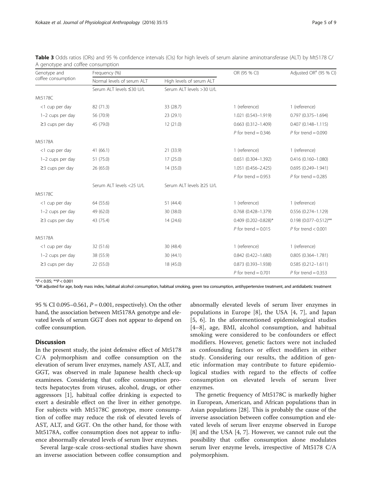| Genotype and<br>coffee consumption | Frequency (%)              |                          | OR (95 % CI)           | Adjusted OR <sup>a</sup> (95 % CI) |
|------------------------------------|----------------------------|--------------------------|------------------------|------------------------------------|
|                                    | Normal levels of serum ALT | High levels of serum ALT |                        |                                    |
|                                    | Serum ALT levels ≤30 U/L   | Serum ALT levels >30 U/L |                        |                                    |
| Mt5178C                            |                            |                          |                        |                                    |
| <1 cup per day                     | 82 (71.3)                  | 33 (28.7)                | 1 (reference)          | 1 (reference)                      |
| 1-2 cups per day                   | 56 (70.9)                  | 23 (29.1)                | 1.021 (0.543-1.919)    | $0.797$ $(0.375 - 1.694)$          |
| $\geq$ 3 cups per day              | 45 (79.0)                  | 12 (21.0)                | $0.663(0.312 - 1.409)$ | $0.407(0.148 - 1.115)$             |
|                                    |                            |                          | P for trend = $0.346$  | P for trend = $0.090$              |
| Mt5178A                            |                            |                          |                        |                                    |
| <1 cup per day                     | 41(66.1)                   | 21 (33.9)                | 1 (reference)          | 1 (reference)                      |
| 1-2 cups per day                   | 51 (75.0)                  | 17(25.0)                 | $0.651(0.304 - 1.392)$ | $0.416(0.160 - 1.080)$             |
| $\geq$ 3 cups per day              | 26 (65.0)                  | 14(35.0)                 | 1.051 (0.456-2.425)    | 0.695 (0.249-1.941)                |
|                                    |                            |                          | P for trend = $0.953$  | P for trend = $0.285$              |
|                                    | Serum ALT levels <25 U/L   | Serum ALT levels ≥25 U/L |                        |                                    |
| Mt5178C                            |                            |                          |                        |                                    |
| <1 cup per day                     | 64 (55.6)                  | 51 (44.4)                | 1 (reference)          | 1 (reference)                      |
| 1-2 cups per day                   | 49 (62.0)                  | 30 (38.0)                | 0.768 (0.428-1.379)    | 0.556 (0.274-1.129)                |
| $\geq$ 3 cups per day              | 43 (75.4)                  | 14 (24.6)                | $0.409$ (0.202-0.828)* | $0.198$ (0.077-0.512)**            |
|                                    |                            |                          | P for trend = $0.015$  | P for trend $< 0.001$              |
| Mt5178A                            |                            |                          |                        |                                    |
| <1 cup per day                     | 32 (51.6)                  | 30 (48.4)                | 1 (reference)          | 1 (reference)                      |
| 1-2 cups per day                   | 38 (55.9)                  | 30(44.1)                 | $0.842(0.422 - 1.680)$ | $0.805(0.364 - 1.781)$             |
| $\geq$ 3 cups per day              | 22(55.0)                   | 18 (45.0)                | 0.873 (0.393-1.938)    | $0.585(0.212 - 1.611)$             |
|                                    |                            |                          | P for trend = $0.701$  | P for trend = $0.353$              |

<span id="page-4-0"></span>Table 3 Odds ratios (ORs) and 95 % confidence intervals (CIs) for high levels of serum alanine aminotransferase (ALT) by Mt5178 C/ A genotype and coffee consumption

\*P < 0.05; \*\*P < 0.001<br>ªOR adjusted for age, body mass index, habitual alcohol consumption, habitual smoking, green tea consumption, antihypertensive treatment, and antidiabetic treatment

95 % CI 0.095–0.561,  $P = 0.001$ , respectively). On the other hand, the association between Mt5178A genotype and elevated levels of serum GGT does not appear to depend on coffee consumption.

### **Discussion**

In the present study, the joint defensive effect of Mt5178 C/A polymorphism and coffee consumption on the elevation of serum liver enzymes, namely AST, ALT, and GGT, was observed in male Japanese health check-up examinees. Considering that coffee consumption protects hepatocytes from viruses, alcohol, drugs, or other aggressors [\[1\]](#page-7-0), habitual coffee drinking is expected to exert a desirable effect on the liver in either genotype. For subjects with Mt5178C genotype, more consumption of coffee may reduce the risk of elevated levels of AST, ALT, and GGT. On the other hand, for those with Mt5178A, coffee consumption does not appear to influence abnormally elevated levels of serum liver enzymes.

Several large-scale cross-sectional studies have shown an inverse association between coffee consumption and

abnormally elevated levels of serum liver enzymes in populations in Europe [[8](#page-7-0)], the USA [[4](#page-7-0), [7\]](#page-7-0), and Japan [[5](#page-7-0), [6](#page-7-0)]. In the aforementioned epidemiological studies [[4](#page-7-0)–[8](#page-7-0)], age, BMI, alcohol consumption, and habitual smoking were considered to be confounders or effect modifiers. However, genetic factors were not included as confounding factors or effect modifiers in either study. Considering our results, the addition of genetic information may contribute to future epidemiological studies with regard to the effects of coffee consumption on elevated levels of serum liver enzymes.

The genetic frequency of Mt5178C is markedly higher in European, American, and African populations than in Asian populations [\[28](#page-8-0)]. This is probably the cause of the inverse association between coffee consumption and elevated levels of serum liver enzyme observed in Europe [[8\]](#page-7-0) and the USA [\[4, 7](#page-7-0)]. However, we cannot rule out the possibility that coffee consumption alone modulates serum liver enzyme levels, irrespective of Mt5178 C/A polymorphism.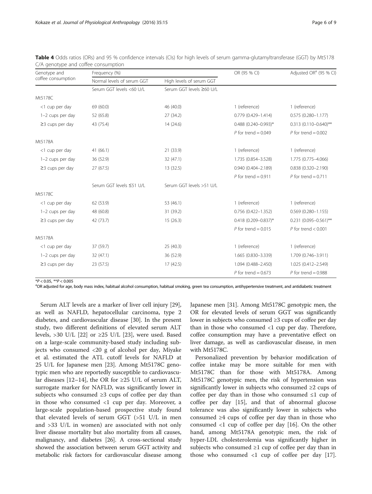| Genotype and<br>coffee consumption | Frequency (%)              |                           | OR (95 % CI)              | Adjusted OR <sup>a</sup> (95 % CI) |
|------------------------------------|----------------------------|---------------------------|---------------------------|------------------------------------|
|                                    | Normal levels of serum GGT | High levels of serum GGT  |                           |                                    |
|                                    | Serum GGT levels <60 U/L   | Serum GGT levels ≥60 U/L  |                           |                                    |
| Mt5178C                            |                            |                           |                           |                                    |
| <1 cup per day                     | 69 (60.0)                  | 46 (40.0)                 | 1 (reference)             | 1 (reference)                      |
| 1-2 cups per day                   | 52 (65.8)                  | 27 (34.2)                 | 0.779 (0.429-1.414)       | $0.575(0.280 - 1.177)$             |
| $\geq$ 3 cups per day              | 43 (75.4)                  | 14 (24.6)                 | $0.488$ (0.240-0.993)*    | $0.313(0.110 - 0.640)$ **          |
|                                    |                            |                           | P for trend = $0.049$     | P for trend = $0.002$              |
| Mt5178A                            |                            |                           |                           |                                    |
| <1 cup per day                     | 41(66.1)                   | 21 (33.9)                 | 1 (reference)             | 1 (reference)                      |
| 1-2 cups per day                   | 36 (52.9)                  | 32 (47.1)                 | 1.735 (0.854-3.528)       | 1.775 (0.775-4.066)                |
| $\geq$ 3 cups per day              | 27(67.5)                   | 13 (32.5)                 | 0.940 (0.404-2.189)       | 0.838 (0.320-2.190)                |
|                                    |                            |                           | P for trend = $0.911$     | P for trend = $0.711$              |
|                                    | Serum GGT levels ≤51 U/L   | Serum GGT levels > 51 U/L |                           |                                    |
| Mt5178C                            |                            |                           |                           |                                    |
| <1 cup per day                     | 62 (53.9)                  | 53 (46.1)                 | 1 (reference)             | 1 (reference)                      |
| 1-2 cups per day                   | 48 (60.8)                  | 31 (39.2)                 | $0.756$ $(0.422 - 1.352)$ | $0.569(0.280 - 1.155)$             |
| $\geq$ 3 cups per day              | 42 (73.7)                  | 15(26.3)                  | $0.418$ (0.209-0.837)*    | $0.231$ (0.095-0.561)**            |
|                                    |                            |                           | P for trend = $0.015$     | P for trend $< 0.001$              |
| Mt5178A                            |                            |                           |                           |                                    |
| <1 cup per day                     | 37 (59.7)                  | 25(40.3)                  | 1 (reference)             | 1 (reference)                      |
| 1-2 cups per day                   | 32 (47.1)                  | 36 (52.9)                 | 1.665 (0.830-3.339)       | 1.709 (0.746-3.911)                |
| $\geq$ 3 cups per day              | 23 (57.5)                  | 17 (42.5)                 | 1.094 (0.488-2.450)       | 1.025 (0.412-2.549)                |
|                                    |                            |                           | P for trend = $0.673$     | P for trend = $0.988$              |

<span id="page-5-0"></span>Table 4 Odds ratios (ORs) and 95 % confidence intervals (CIs) for high levels of serum gamma-glutamyltransferase (GGT) by Mt5178 C/A genotype and coffee consumption

 $*P < 0.05$ ,  $*P < 0.005$ 

<sup>a</sup>OR adjusted for age, body mass index, habitual alcohol consumption, habitual smoking, green tea consumption, antihypertensive treatment, and antidiabetic treatment

Serum ALT levels are a marker of liver cell injury [\[29](#page-8-0)], as well as NAFLD, hepatocellular carcinoma, type 2 diabetes, and cardiovascular disease [\[30](#page-8-0)]. In the present study, two different definitions of elevated serum ALT levels, >30 U/L [[22](#page-7-0)] or  $\geq$ 25 U/L [[23](#page-7-0)], were used. Based on a large-scale community-based study including subjects who consumed <20 g of alcohol per day, Miyake et al. estimated the ATL cutoff levels for NAFLD at 25 U/L for Japanese men [[23\]](#page-7-0). Among Mt5178C genotypic men who are reportedly susceptible to cardiovascu-lar diseases [[12](#page-7-0)–[14](#page-7-0)], the OR for  $\geq$ 25 U/L of serum ALT, surrogate marker for NAFLD, was significantly lower in subjects who consumed ≥3 cups of coffee per day than in those who consumed <1 cup per day. Moreover, a large-scale population-based prospective study found that elevated levels of serum GGT (>51 U/L in men and >33 U/L in women) are associated with not only liver disease mortality but also mortality from all causes, malignancy, and diabetes [\[26](#page-8-0)]. A cross-sectional study showed the association between serum GGT activity and metabolic risk factors for cardiovascular disease among

Japanese men [\[31\]](#page-8-0). Among Mt5178C genotypic men, the OR for elevated levels of serum GGT was significantly lower in subjects who consumed ≥3 cups of coffee per day than in those who consumed <1 cup per day. Therefore, coffee consumption may have a preventative effect on liver damage, as well as cardiovascular disease, in men with Mt5178C.

Personalized prevention by behavior modification of coffee intake may be more suitable for men with Mt5178C than for those with Mt5178A. Among Mt5178C genotypic men, the risk of hypertension was significantly lower in subjects who consumed ≥2 cups of coffee per day than in those who consumed  $\leq 1$  cup of coffee per day [\[15](#page-7-0)], and that of abnormal glucose tolerance was also significantly lower in subjects who consumed ≥4 cups of coffee per day than in those who consumed <1 cup of coffee per day [\[16](#page-7-0)]. On the other hand, among Mt5178A genotypic men, the risk of hyper-LDL cholesterolemia was significantly higher in subjects who consumed  $\geq 1$  cup of coffee per day than in those who consumed <1 cup of coffee per day [\[17](#page-7-0)].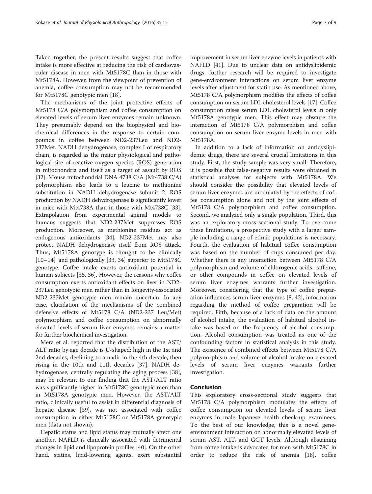Taken together, the present results suggest that coffee intake is more effective at reducing the risk of cardiovascular disease in men with Mt5178C than in those with Mt5178A. However, from the viewpoint of prevention of anemia, coffee consumption may not be recommended for Mt5178C genotypic men [\[18](#page-7-0)].

The mechanisms of the joint protective effects of Mt5178 C/A polymorphism and coffee consumption on elevated levels of serum liver enzymes remain unknown. They presumably depend on the biophysical and biochemical differences in the response to certain compounds in coffee between ND2-237Leu and ND2- 237Met. NADH dehydrogenase, complex I of respiratory chain, is regarded as the major physiological and pathological site of reactive oxygen species (ROS) generation in mitochondria and itself as a target of assault by ROS [[32](#page-8-0)]. Mouse mitochondrial DNA 4738 C/A (Mt4738 C/A) polymorphism also leads to a leucine to methionine substitution in NADH dehydrogenase subunit 2. ROS production by NADH dehydrogenase is significantly lower in mice with Mt4738A than in those with Mt4738C [[33](#page-8-0)]. Extrapolation from experimental animal models to humans suggests that ND2-237Met suppresses ROS production. Moreover, as methionine residues act as endogenous antioxidants [\[34\]](#page-8-0), ND2-237Met may also protect NADH dehydrogenase itself from ROS attack. Thus, Mt5178A genotype is thought to be clinically [[10](#page-7-0)–[14\]](#page-7-0) and pathologically [[33](#page-8-0), [34](#page-8-0)] superior to Mt5178C genotype. Coffee intake exerts antioxidant potential in human subjects [\[35, 36](#page-8-0)]. However, the reasons why coffee consumption exerts antioxidant effects on liver in ND2- 237Leu genotypic men rather than in longevity-associated ND2-237Met genotypic men remain uncertain. In any case, elucidation of the mechanisms of the combined defensive effects of Mt5178 C/A (ND2-237 Leu/Met) polymorphism and coffee consumption on abnormally elevated levels of serum liver enzymes remains a matter for further biochemical investigation.

Mera et al. reported that the distribution of the AST/ ALT ratio by age decade is U-shaped: high in the 1st and 2nd decades, declining to a nadir in the 4th decade, then rising in the 10th and 11th decades [[37\]](#page-8-0). NADH dehydrogenase, centrally regulating the aging process [\[38](#page-8-0)], may be relevant to our finding that the AST/ALT ratio was significantly higher in Mt5178C genotypic men than in Mt5178A genotypic men. However, the AST/ALT ratio, clinically useful to assist in differential diagnosis of hepatic disease [[39\]](#page-8-0), was not associated with coffee consumption in either Mt5178C or Mt5178A genotypic men (data not shown).

Hepatic status and lipid status may mutually affect one another. NAFLD is clinically associated with detrimental changes in lipid and lipoprotein profiles [\[40\]](#page-8-0). On the other hand, statins, lipid-lowering agents, exert substantial

improvement in serum liver enzyme levels in patients with NAFLD [\[41\]](#page-8-0). Due to unclear data on antidyslipidemic drugs, further research will be required to investigate gene-environment interactions on serum liver enzyme levels after adjustment for statin use. As mentioned above, Mt5178 C/A polymorphism modifies the effects of coffee consumption on serum LDL cholesterol levels [\[17\]](#page-7-0). Coffee consumption raises serum LDL cholesterol levels in only Mt5178A genotypic men. This effect may obscure the interaction of Mt5178 C/A polymorphism and coffee consumption on serum liver enzyme levels in men with Mt5178A.

In addition to a lack of information on antidyslipidemic drugs, there are several crucial limitations in this study. First, the study sample was very small. Therefore, it is possible that false-negative results were obtained in statistical analyses for subjects with Mt5178A. We should consider the possibility that elevated levels of serum liver enzymes are modulated by the effects of coffee consumption alone and not by the joint effects of Mt5178 C/A polymorphism and coffee consumption. Second, we analyzed only a single population. Third, this was an exploratory cross-sectional study. To overcome these limitations, a prospective study with a larger sample including a range of ethnic populations is necessary. Fourth, the evaluation of habitual coffee consumption was based on the number of cups consumed per day. Whether there is any interaction between Mt5178 C/A polymorphism and volume of chlorogenic acids, caffeine, or other compounds in coffee on elevated levels of serum liver enzymes warrants further investigation. Moreover, considering that the type of coffee preparation influences serum liver enzymes [\[8,](#page-7-0) [42\]](#page-8-0), information regarding the method of coffee preparation will be required. Fifth, because of a lack of data on the amount of alcohol intake, the evaluation of habitual alcohol intake was based on the frequency of alcohol consumption. Alcohol consumption was treated as one of the confounding factors in statistical analysis in this study. The existence of combined effects between Mt5178 C/A polymorphism and volume of alcohol intake on elevated levels of serum liver enzymes warrants further investigation.

### Conclusion

This exploratory cross-sectional study suggests that Mt5178 C/A polymorphism modulates the effects of coffee consumption on elevated levels of serum liver enzymes in male Japanese health check-up examinees. To the best of our knowledge, this is a novel geneenvironment interaction on abnormally elevated levels of serum AST, ALT, and GGT levels. Although abstaining from coffee intake is advocated for men with Mt5178C in order to reduce the risk of anemia [\[18\]](#page-7-0), coffee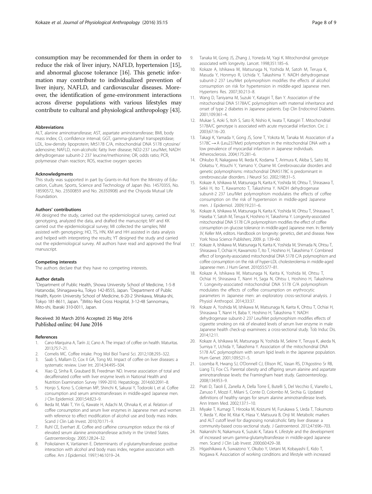<span id="page-7-0"></span>consumption may be recommended for them in order to reduce the risk of liver injury, NAFLD, hypertension [15], and abnormal glucose tolerance [16]. This genetic information may contribute to individualized prevention of liver injury, NAFLD, and cardiovascular diseases. Moreover, the identification of gene-environment interactions across diverse populations with various lifestyles may contribute to cultural and physiological anthropology [\[43\]](#page-8-0).

#### Abbreviations

ALT, alanine aminotransferase; AST, aspartate aminotransferase; BMI, body mass index; CI, confidence interval; GGT, gamma-glutamyl transpeptidase; LDL, low-density lipoprotein; Mt5178 C/A, mitochondrial DNA 5178 cytosine/ adenosine; NAFLD, non-alcoholic fatty liver disease; ND2-237 Leu/Met, NADH dehydrogenase subunit-2 237 leucine/methionine; OR, odds ratio; PCR, polymerase chain reaction; ROS, reactive oxygen species

#### Acknowledgments

This study was supported in part by Grants-in-Aid from the Ministry of Education, Culture, Sports, Science and Technology of Japan (No. 14570355, No. 18590572, No. 23500859 and No. 26350908) and the Chiyoda Mutual Life Foundation.

#### Authors' contributions

AK designed the study, carried out the epidemiological survey, carried out genotyping, analyzed the data, and drafted the manuscript; MY and KK carried out the epidemiological survey; MI collected the samples; NM assisted with genotyping; HO, TS, HN, KM and HH assisted in data analysis and helped with interpreting the results; YT designed the study and carried out the epidemiological survey. All authors have read and approved the final manuscript.

#### Competing interests

The authors declare that they have no competing interests.

#### Author details

<sup>1</sup>Department of Public Health, Showa University School of Medicine, 1-5-8 Hatanodai, Shinagawa-ku, Tokyo 142-8555, Japan. <sup>2</sup>Department of Public Health, Kyorin University School of Medicine, 6-20-2 Shinkawa, Mitaka-shi, Tokyo 181-8611, Japan. <sup>3</sup>3Mito Red Cross Hospital, 3-12-48 Sannomaru, Mito-shi, Ibaraki 310-0011, Japan.

#### Received: 30 March 2016 Accepted: 25 May 2016 Published online: 04 June 2016

#### References

- 1. Cano-Marquina A, Tarín JJ, Cano A. The impact of coffee on health. Maturitas. 2013;75:7–21.
- 2. Cornelis MC. Coffee intake. Prog Mol Biol Transl Sci. 2012;108:293–322.
- 3. Saab S, Mallam D, Cox II GA, Tong MJ. Impact of coffee on liver diseases: a systematic review. Liver Int. 2014;34:495–504.
- 4. Xiao Q, Sinha R, Graubard BI, Freedman ND. Inverse association of total and decaffeinated coffee with liver enzyme levels in National Health and Nutrition Examination Survey 1999-2010. Hepatology. 2014;60:2091–8.
- 5. Honjo S, Kono S, Coleman MP, Shinchi K, Sakurai Y, Todoroki I, et al. Coffee consumption and serum aminotransferases in middle-aged Japanese men. J Clin Epidemiol. 2001;54:823–9.
- Ikeda M, Maki T, Yin G, Kawate H, Adachi M, Ohnaka K, et al. Relation of coffee consumption and serum liver enzymes in Japanese men and women with reference to effect modification of alcohol use and body mass index. Scand J Clin Lab Invest. 2010;70:171–9.
- 7. Ruhl CE, Everhart JE. Coffee and caffeine consumption reduce the risk of elevated serum alanine aminotransferase activity in the United States. Gastroenterology. 2005;128:24–32.
- 8. Poikolainen K, Vartiainen E. Determinants of γ-glutamyltransferase: positive interaction with alcohol and body mass index, negative association with coffee. Am J Epidemiol. 1997;146:1019–24.
- 9. Tanaka M, Gong JS, Zhang J, Yoneda M, Yagi K. Mitochondrial genotype associated with longevity. Lancet. 1998;351:185–6.
- 10. Kokaze A, Ishikawa M, Matsunaga N, Yoshida M, Satoh M, Teruya K, Masuda Y, Honmyo R, Uchida Y, Takashima Y. NADH dehydrogenase subunit-2 237 Leu/Met polymorphism modifies the effects of alcohol consumption on risk for hypertension in middle-aged Japanese men. Hypertens Res. 2007;30:213–8.
- 11. Wang D, Taniyama M, Suzuki Y, Katagiri T, Ban Y. Association of the mitochondrial DNA 5178A/C polymorphism with maternal inheritance and onset of type 2 diabetes in Japanese patients. Exp Clin Endocrinol Diabetes. 2001;109:361–4.
- 12. Mukae S, Aoki S, Itoh S, Sato R, Nishio K, Iwata T, Katagiri T. Mitochondrial 5178A/C genotype is associated with acute myocardial infarction. Circ J. 2003;67:16–20.
- 13. Takagi K, Yamada Y, Gong JS, Sone T, Yokota M, Tanaka M. Association of a 5178C → A (Leu237Met) polymorphism in the mitochondrial DNA with a low prevalence of myocardial infarction in Japanese individuals. Atherosclerosis. 2004;175:281–6.
- 14. Ohkubo R, Nakagawa M, Ikeda K, Kodama T, Arimura K, Akiba S, Saito M, Ookatsu Y, Atsuchi Y, Yamano Y, Osame M. Cerebrovascular disorders and genetic polymorphisms: mitochondrial DNA5178C is predominant in cerebrovascular disorders. J Neurol Sci. 2002;198:31–5.
- 15. Kokaze A, Ishikawa M, Matsunaga N, Karita K, Yoshida M, Ohtsu T, Shirasawa T, Sekii H, Ito T, Kawamoto T, Takashima Y. NADH dehydrogenase subunit-2 237 Leu/Met polymorphism modulates the effects of coffee consumption on the risk of hypertension in middle-aged Japanese men. J Epidemiol. 2009;19:231–6.
- 16. Kokaze A, Ishikawa M, Matsunaga N, Karita K, Yoshida M, Ohtsu T, Shirasawa T, Haseba Y, Satoh M, Teruya K, Hoshino H, Takashima Y. Longevity-associated mitochondrial DNA 5178 C/A polymorphism modifies the effect of coffee consumption on glucose tolerance in middle-aged Japanese men. In: Bentely JV, Keller MA, editors. Handbook on longevity: genetics, diet and disease. New York: Nova Science Publishers; 2009. p. 139–60.
- 17. Kokaze A, Ishikawa M, Matsunaga N, Karita K, Yoshida M, Shimada N, Ohtsu T, Shirasawa T, Ochiai H, Kawamoto T, Ito T, Hoshino H, Takashima Y. Combined effect of longevity-associated mitochondrial DNA 5178 C/A polymorphism and coffee consumption on the risk of hyper-LDL cholesterolemia in middle-aged Japanese men. J Hum Genet. 2010;55:577–81.
- 18. Kokaze A, Ishikawa M, Matsunaga N, Karita K, Yoshida M, Ohtsu T, Ochiai H, Shirasawa T, Nanri H, Saga N, Ohtsu I, Hoshino H, Takashima Y. Longevity-associated mitochondrial DNA 5178 C/A polymorphism modulates the effects of coffee consumption on erythrocytic parameters in Japanese men: an exploratory cross-sectional analysis. J Physiol Anthropol. 2014;33:37.
- 19. Kokaze A, Yoshida M, Ishikawa M, Matsunaga N, Karita K, Ohtsu T, Ochiai H, Shirasawa T, Nanri H, Baba Y, Hoshino H, Takashima Y. NADH dehydrogenase subunit-2 237 Leu/Met polymorphism modifies effects of cigarette smoking on risk of elevated levels of serum liver enzyme in male Japanese health check-up examinees: a cross-sectional study. Tob Induc Dis. 2014;12:11.
- 20. Kokaze A, Ishikawa M, Matsunaga N, Yoshida M, Sekine Y, Teruya K, akeda N, Sumiya Y, Uchida Y, Takashima Y. Association of the mitochondrial DNA 5178 A/C polymorphism with serum lipid levels in the Japanese population. Hum Genet. 2001;109:521–5.
- 21. Loomba R, Hwang SJ, O'Donnell CJ, Ellison RC, Vasan RS, D'Agostino Sr RB, Liang TJ, Fox CS. Parental obesity and offspring serum alanine and aspartate aminotransferase levels: the Framingham heart study. Gastroenterology. 2008;134:953–9.
- 22. Prati D, Taioli E, Zanella A, Della Torre E, Butelli S, Del Vecchio E, Vianello L, Zanuso F, Mozzi F, Milani S, Conte D, Colombo M, Sirchia G. Updated definitions of healthy ranges for serum alanine aminotransferase levels. Ann Intern Med. 2002;137:1–10.
- 23. Miyake T, Kumagi T, Hirooka M, Koizumi M, Furukawa S, Ueda T, Tokumoto Y, Ikeda Y, Abe M, Kitai K, Hiasa Y, Matsuura B, Onji M. Metabolic markers and ALT cutoff level for diagnosing nonalcoholic fatty liver disease: a community-based cross-sectional study. J Gastroenterol. 2012;47:696–703.
- 24. Nakanishi N, Nakamura K, Suzuki K, Tatara K. Lifestyle and the development of increased serum gamma-glutamyltransferase in middle-aged Japanese men. Scand J Clin Lab Invest. 2000;60:429–38.
- 25. Higashikawa A, Suwazono Y, Okubo Y, Uetani M, Kobayashi E, Kido T, Nogawa K. Association of working conditions and lifestyle with increased